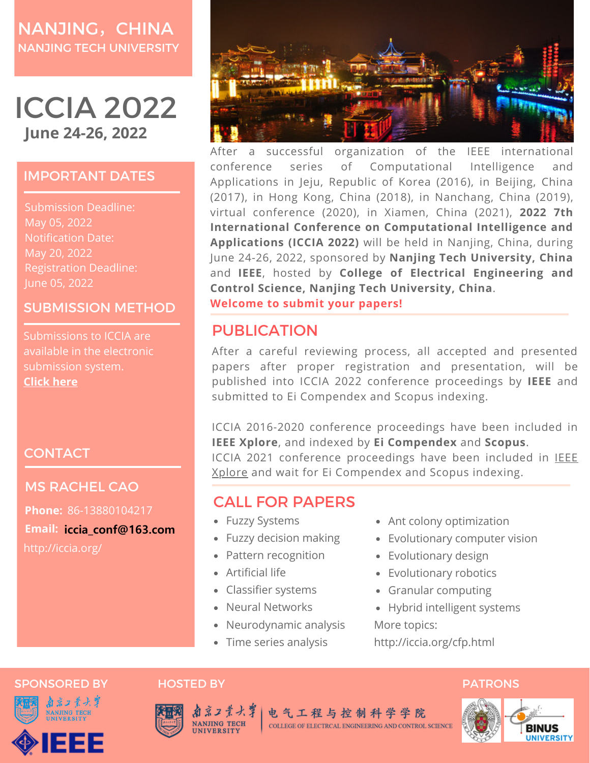# NANJING, CHINA NANJING TECH UNIVERSITY

# ICCIA 2022 **June 24-26, 2022**

### IMPORTANT DATES

Submission Deadline: May 05, 2022 Notification Date: May 20, 2022 Registration Deadline: June 05, 2022

### SUBMISSION METHOD

Submissions to ICCIA are available in the electronic submission system. **[Click](http://confsys.iconf.org/submission/iccia2022) here**

## **CONTACT**

### MS RACHEL CAO

http://iccia.org/ **Phone:** 86-13880104217 **Email: iccia\_conf@163.com**



After a successful organization of the IEEE international conference series of Computational Intelligence and Applications in Jeju, Republic of Korea (2016), in Beijing, China (2017), in Hong Kong, China (2018), in Nanchang, China (2019), virtual conference (2020), in Xiamen, China (2021), **2022 7th International Conference on Computational Intelligence and Applications (ICCIA 2022)** will be held in Nanjing, China, during June 24-26, 2022, sponsored by **Nanjing Tech University, China** and **IEEE**, hosted by **College of Electrical Engineering and Control Science, Nanjing Tech University, China**. **Welcome to submit your papers!**

# PUBLICATION

After a careful reviewing process, all accepted and presented papers after proper registration and presentation, will be published into ICCIA 2022 conference proceedings by **IEEE** and submitted to Ei Compendex and Scopus indexing.

ICCIA 2016-2020 conference proceedings have been included in **IEEE Xplore**, and indexed by **Ei Compendex** and **Scopus**. ICCIA 2021 conference [proceedings](https://ieeexplore.ieee.org/xpl/conhome/9643596/proceeding) have been included in **IEEE** Xplore and wait for Ei Compendex and Scopus indexing.

## CALL FOR PAPERS

- Fuzzy Systems
- Fuzzy decision making
- Pattern recognition
- Artificial life
- Classifier systems
- Neural Networks
- Neurodynamic analysis
- Time series analysis
- Ant colony optimization
- Evolutionary computer vision
- Evolutionary design
- Evolutionary robotics
- Granular computing
- Hybrid intelligent systems More topics:

http://iccia.org/cfp.html

### SPONSORED BY HOSTED BY PATRONS





电气工程与控制科学学院 COLLEGE OF ELECTRCAL ENGINEERING AND CONTROL SCIENCE